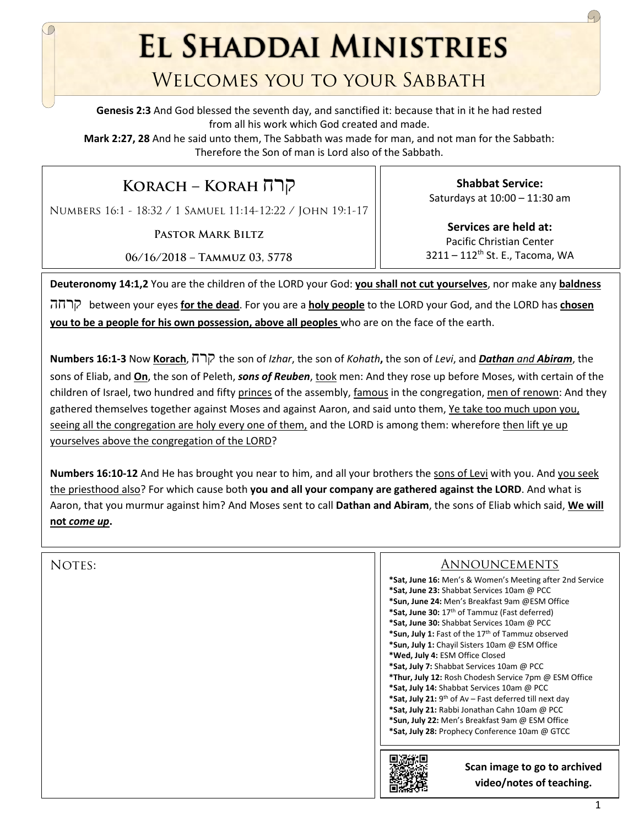**EL SHADDAI MINISTRIES** 

## WELCOMES YOU TO YOUR SABBATH

**Genesis 2:3** And God blessed the seventh day, and sanctified it: because that in it he had rested from all his work which God created and made.

**Mark 2:27, 28** And he said unto them, The Sabbath was made for man, and not man for the Sabbath: Therefore the Son of man is Lord also of the Sabbath.

**Korach – Korah** קרח

Numbers 16:1 - 18:32 / 1 Samuel 11:14-12:22 / John 19:1-17

**Pastor Mark Biltz**

**06/16/2018 – Tammuz 03, 5778**

**Shabbat Service:**  Saturdays at 10:00 – 11:30 am

**Services are held at:**  Pacific Christian Center 3211 – 112<sup>th</sup> St. E., Tacoma, WA

**Deuteronomy 14:1,2** You are the children of the LORD your God: **you shall not cut yourselves**, nor make any **baldness** קרחה between your eyes **for the dead**. For you are a **holy people** to the LORD your God, and the LORD has **chosen you to be a people for his own possession, above all peoples** who are on the face of the earth.

**Numbers 16:1-3** Now **Korach**, קרח the son of *Izhar*, the son of *Kohath***,** the son of *Levi*, and *Dathan and Abiram*, the sons of Eliab, and **On**, the son of Peleth, *sons of Reuben*, took men: And they rose up before Moses, with certain of the children of Israel, two hundred and fifty princes of the assembly, famous in the congregation, men of renown: And they gathered themselves together against Moses and against Aaron, and said unto them, Ye take too much upon you, seeing all the congregation are holy every one of them, and the LORD is among them: wherefore then lift ye up yourselves above the congregation of the LORD?

**Numbers 16:10-12** And He has brought you near to him, and all your brothers the sons of Levi with you. And you seek the priesthood also? For which cause both **you and all your company are gathered against the LORD**. And what is Aaron, that you murmur against him? And Moses sent to call **Dathan and Abiram**, the sons of Eliab which said, **We will not** *come up***.**

| N<br>OTE: |  |
|-----------|--|
|-----------|--|

Announcements

**\*Sat, June 16:** Men's & Women's Meeting after 2nd Service **\*Sat, June 23:** Shabbat Services 10am @ PCC **\*Sun, June 24:** Men's Breakfast 9am @ESM Office **\*Sat, June 30:** 17th of Tammuz (Fast deferred) **\*Sat, June 30:** Shabbat Services 10am @ PCC **\*Sun, July 1:** Fast of the 17th of Tammuz observed **\*Sun, July 1:** Chayil Sisters 10am @ ESM Office **\*Wed, July 4:** ESM Office Closed **\*Sat, July 7:** Shabbat Services 10am @ PCC **\*Thur, July 12:** Rosh Chodesh Service 7pm @ ESM Office **\*Sat, July 14:** Shabbat Services 10am @ PCC **\*Sat, July 21:** 9th of Av – Fast deferred till next day **\*Sat, July 21:** Rabbi Jonathan Cahn 10am @ PCC **\*Sun, July 22:** Men's Breakfast 9am @ ESM Office **\*Sat, July 28:** Prophecy Conference 10am @ GTCC



**Scan image to go to archived video/notes of teaching.**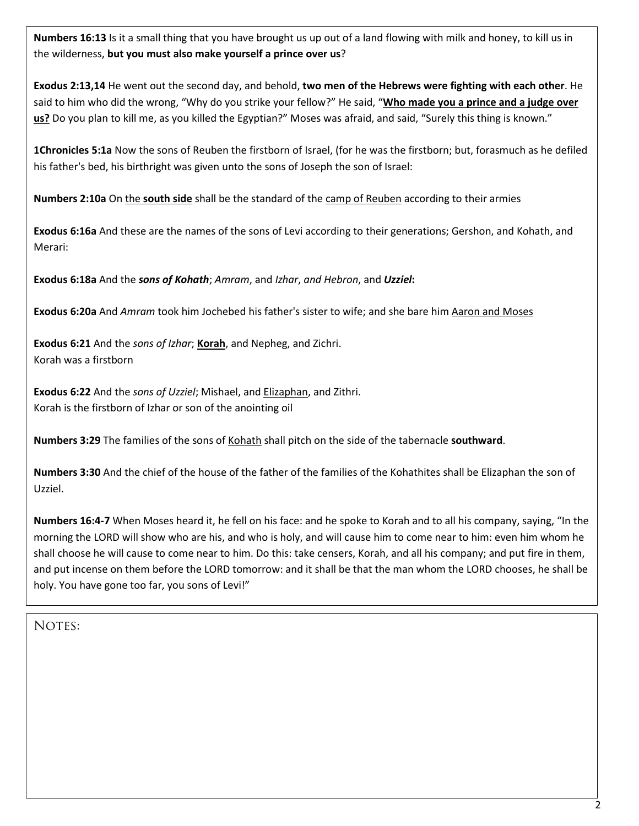**Numbers 16:13** Is it a small thing that you have brought us up out of a land flowing with milk and honey, to kill us in the wilderness, **but you must also make yourself a prince over us**?

**Exodus 2:13,14** He went out the second day, and behold, **two men of the Hebrews were fighting with each other**. He said to him who did the wrong, "Why do you strike your fellow?" He said, "**Who made you a prince and a judge over us?** Do you plan to kill me, as you killed the Egyptian?" Moses was afraid, and said, "Surely this thing is known."

**1Chronicles 5:1a** Now the sons of Reuben the firstborn of Israel, (for he was the firstborn; but, forasmuch as he defiled his father's bed, his birthright was given unto the sons of Joseph the son of Israel:

**Numbers 2:10a** On the **south side** shall be the standard of the camp of Reuben according to their armies

**Exodus 6:16a** And these are the names of the sons of Levi according to their generations; Gershon, and Kohath, and Merari:

**Exodus 6:18a** And the *sons of Kohath*; *Amram*, and *Izhar*, *and Hebron*, and *Uzziel***:**

**Exodus 6:20a** And *Amram* took him Jochebed his father's sister to wife; and she bare him Aaron and Moses

**Exodus 6:21** And the *sons of Izhar*; **Korah**, and Nepheg, and Zichri. Korah was a firstborn

**Exodus 6:22** And the *sons of Uzziel*; Mishael, and Elizaphan, and Zithri. Korah is the firstborn of Izhar or son of the anointing oil

**Numbers 3:29** The families of the sons of Kohath shall pitch on the side of the tabernacle **southward**.

**Numbers 3:30** And the chief of the house of the father of the families of the Kohathites shall be Elizaphan the son of Uzziel.

**Numbers 16:4-7** When Moses heard it, he fell on his face: and he spoke to Korah and to all his company, saying, "In the morning the LORD will show who are his, and who is holy, and will cause him to come near to him: even him whom he shall choose he will cause to come near to him. Do this: take censers, Korah, and all his company; and put fire in them, and put incense on them before the LORD tomorrow: and it shall be that the man whom the LORD chooses, he shall be holy. You have gone too far, you sons of Levi!"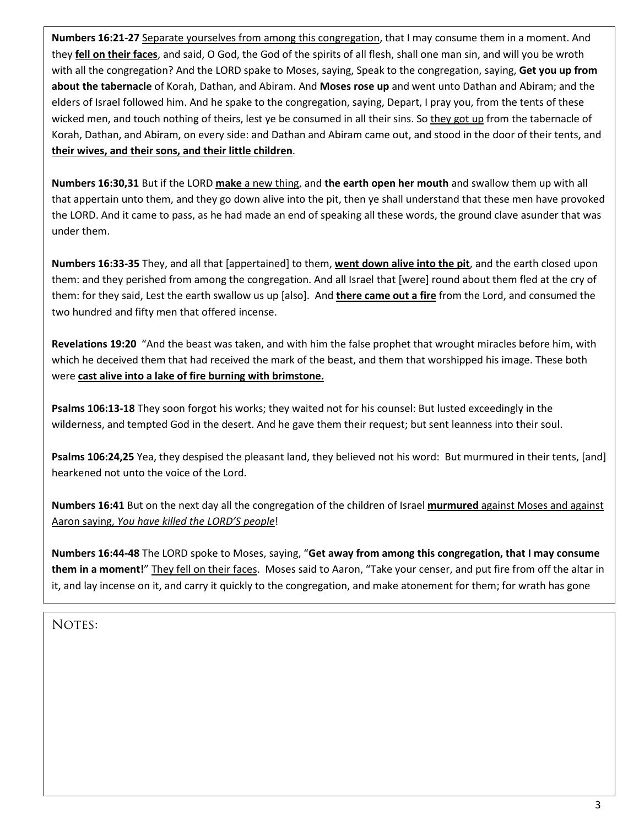**Numbers 16:21-27** Separate yourselves from among this congregation, that I may consume them in a moment. And they **fell on their faces**, and said, O God, the God of the spirits of all flesh, shall one man sin, and will you be wroth with all the congregation? And the LORD spake to Moses, saying, Speak to the congregation, saying, **Get you up from about the tabernacle** of Korah, Dathan, and Abiram. And **Moses rose up** and went unto Dathan and Abiram; and the elders of Israel followed him. And he spake to the congregation, saying, Depart, I pray you, from the tents of these wicked men, and touch nothing of theirs, lest ye be consumed in all their sins. So they got up from the tabernacle of Korah, Dathan, and Abiram, on every side: and Dathan and Abiram came out, and stood in the door of their tents, and **their wives, and their sons, and their little children**.

**Numbers 16:30,31** But if the LORD **make** a new thing, and **the earth open her mouth** and swallow them up with all that appertain unto them, and they go down alive into the pit, then ye shall understand that these men have provoked the LORD. And it came to pass, as he had made an end of speaking all these words, the ground clave asunder that was under them.

**Numbers 16:33-35** They, and all that [appertained] to them, **went down alive into the pit**, and the earth closed upon them: and they perished from among the congregation. And all Israel that [were] round about them fled at the cry of them: for they said, Lest the earth swallow us up [also]. And **there came out a fire** from the Lord, and consumed the two hundred and fifty men that offered incense.

**Revelations 19:20** "And the beast was taken, and with him the false prophet that wrought miracles before him, with which he deceived them that had received the mark of the beast, and them that worshipped his image. These both were **cast alive into a lake of fire burning with brimstone.**

**Psalms 106:13-18** They soon forgot his works; they waited not for his counsel: But lusted exceedingly in the wilderness, and tempted God in the desert. And he gave them their request; but sent leanness into their soul.

Psalms 106:24,25 Yea, they despised the pleasant land, they believed not his word: But murmured in their tents, [and] hearkened not unto the voice of the Lord.

**Numbers 16:41** But on the next day all the congregation of the children of Israel **murmured** against Moses and against Aaron saying, *You have killed the LORD'S people*!

**Numbers 16:44-48** The LORD spoke to Moses, saying, "**Get away from among this congregation, that I may consume them in a moment!**" They fell on their faces. Moses said to Aaron, "Take your censer, and put fire from off the altar in it, and lay incense on it, and carry it quickly to the congregation, and make atonement for them; for wrath has gone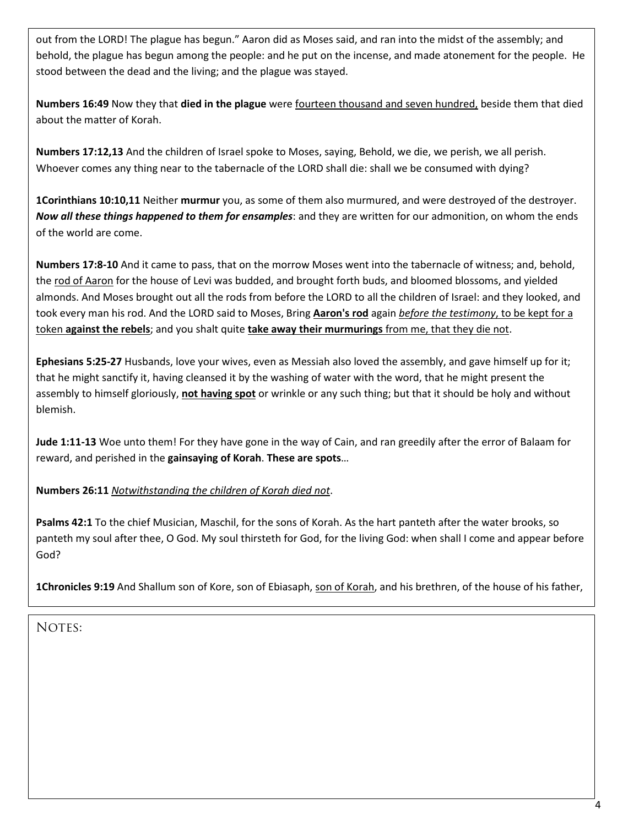out from the LORD! The plague has begun." Aaron did as Moses said, and ran into the midst of the assembly; and behold, the plague has begun among the people: and he put on the incense, and made atonement for the people. He stood between the dead and the living; and the plague was stayed.

**Numbers 16:49** Now they that **died in the plague** were fourteen thousand and seven hundred, beside them that died about the matter of Korah.

**Numbers 17:12,13** And the children of Israel spoke to Moses, saying, Behold, we die, we perish, we all perish. Whoever comes any thing near to the tabernacle of the LORD shall die: shall we be consumed with dying?

**1Corinthians 10:10,11** Neither **murmur** you, as some of them also murmured, and were destroyed of the destroyer. *Now all these things happened to them for ensamples*: and they are written for our admonition, on whom the ends of the world are come.

**Numbers 17:8-10** And it came to pass, that on the morrow Moses went into the tabernacle of witness; and, behold, the rod of Aaron for the house of Levi was budded, and brought forth buds, and bloomed blossoms, and yielded almonds. And Moses brought out all the rods from before the LORD to all the children of Israel: and they looked, and took every man his rod. And the LORD said to Moses, Bring **Aaron's rod** again *before the testimony*, to be kept for a token **against the rebels**; and you shalt quite **take away their murmurings** from me, that they die not.

**Ephesians 5:25-27** Husbands, love your wives, even as Messiah also loved the assembly, and gave himself up for it; that he might sanctify it, having cleansed it by the washing of water with the word, that he might present the assembly to himself gloriously, **not having spot** or wrinkle or any such thing; but that it should be holy and without blemish.

**Jude 1:11-13** Woe unto them! For they have gone in the way of Cain, and ran greedily after the error of Balaam for reward, and perished in the **gainsaying of Korah**. **These are spots**…

**Numbers 26:11** *Notwithstanding the children of Korah died not*.

**Psalms 42:1** To the chief Musician, Maschil, for the sons of Korah. As the hart panteth after the water brooks, so panteth my soul after thee, O God. My soul thirsteth for God, for the living God: when shall I come and appear before God?

**1Chronicles 9:19** And Shallum son of Kore, son of Ebiasaph, son of Korah, and his brethren, of the house of his father,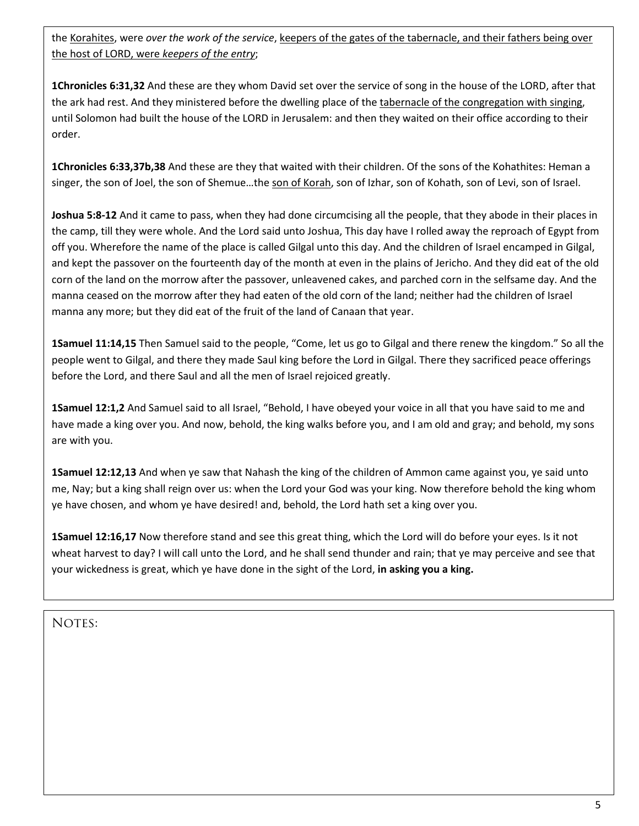the Korahites, were *over the work of the service*, keepers of the gates of the tabernacle, and their fathers being over the host of LORD, were *keepers of the entry*;

**1Chronicles 6:31,32** And these are they whom David set over the service of song in the house of the LORD, after that the ark had rest. And they ministered before the dwelling place of the tabernacle of the congregation with singing, until Solomon had built the house of the LORD in Jerusalem: and then they waited on their office according to their order.

**1Chronicles 6:33,37b,38** And these are they that waited with their children. Of the sons of the Kohathites: Heman a singer, the son of Joel, the son of Shemue…the son of Korah, son of Izhar, son of Kohath, son of Levi, son of Israel.

**Joshua 5:8-12** And it came to pass, when they had done circumcising all the people, that they abode in their places in the camp, till they were whole. And the Lord said unto Joshua, This day have I rolled away the reproach of Egypt from off you. Wherefore the name of the place is called Gilgal unto this day. And the children of Israel encamped in Gilgal, and kept the passover on the fourteenth day of the month at even in the plains of Jericho. And they did eat of the old corn of the land on the morrow after the passover, unleavened cakes, and parched corn in the selfsame day. And the manna ceased on the morrow after they had eaten of the old corn of the land; neither had the children of Israel manna any more; but they did eat of the fruit of the land of Canaan that year.

**1Samuel 11:14,15** Then Samuel said to the people, "Come, let us go to Gilgal and there renew the kingdom." So all the people went to Gilgal, and there they made Saul king before the Lord in Gilgal. There they sacrificed peace offerings before the Lord, and there Saul and all the men of Israel rejoiced greatly.

**1Samuel 12:1,2** And Samuel said to all Israel, "Behold, I have obeyed your voice in all that you have said to me and have made a king over you. And now, behold, the king walks before you, and I am old and gray; and behold, my sons are with you.

**1Samuel 12:12,13** And when ye saw that Nahash the king of the children of Ammon came against you, ye said unto me, Nay; but a king shall reign over us: when the Lord your God was your king. Now therefore behold the king whom ye have chosen, and whom ye have desired! and, behold, the Lord hath set a king over you.

**1Samuel 12:16,17** Now therefore stand and see this great thing, which the Lord will do before your eyes. Is it not wheat harvest to day? I will call unto the Lord, and he shall send thunder and rain; that ye may perceive and see that your wickedness is great, which ye have done in the sight of the Lord, **in asking you a king.**